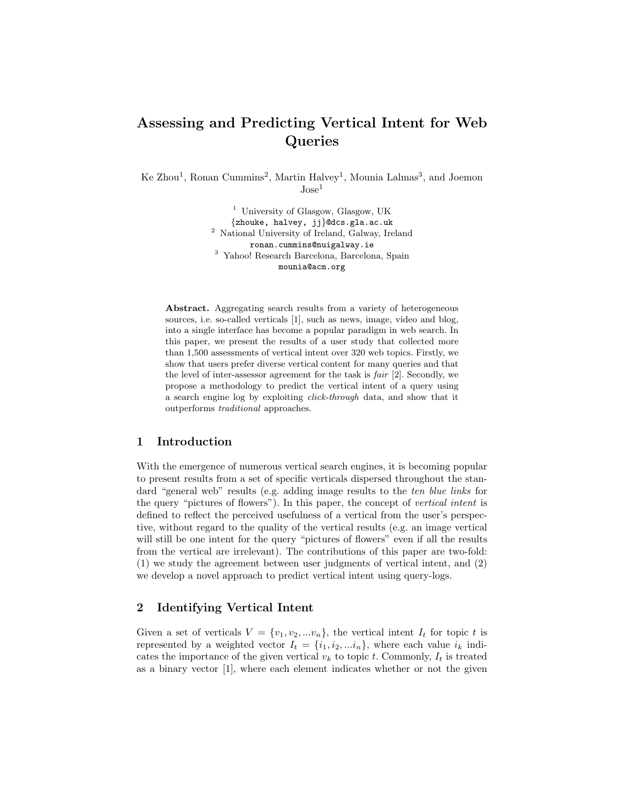# Assessing and Predicting Vertical Intent for Web Queries

Ke Zhou<sup>1</sup>, Ronan Cummins<sup>2</sup>, Martin Halvey<sup>1</sup>, Mounia Lalmas<sup>3</sup>, and Joemon  $\mathrm{Jose}^1$ 

> <sup>1</sup> University of Glasgow, Glasgow, UK {zhouke, halvey, jj}@dcs.gla.ac.uk <sup>2</sup> National University of Ireland, Galway, Ireland ronan.cummins@nuigalway.ie <sup>3</sup> Yahoo! Research Barcelona, Barcelona, Spain mounia@acm.org

Abstract. Aggregating search results from a variety of heterogeneous sources, i.e. so-called verticals [1], such as news, image, video and blog, into a single interface has become a popular paradigm in web search. In this paper, we present the results of a user study that collected more than 1,500 assessments of vertical intent over 320 web topics. Firstly, we show that users prefer diverse vertical content for many queries and that the level of inter-assessor agreement for the task is fair [2]. Secondly, we propose a methodology to predict the vertical intent of a query using a search engine log by exploiting click-through data, and show that it outperforms traditional approaches.

#### 1 Introduction

With the emergence of numerous vertical search engines, it is becoming popular to present results from a set of specific verticals dispersed throughout the standard "general web" results (e.g. adding image results to the ten blue links for the query "pictures of flowers"). In this paper, the concept of vertical intent is defined to reflect the perceived usefulness of a vertical from the user's perspective, without regard to the quality of the vertical results (e.g. an image vertical will still be one intent for the query "pictures of flowers" even if all the results from the vertical are irrelevant). The contributions of this paper are two-fold: (1) we study the agreement between user judgments of vertical intent, and (2) we develop a novel approach to predict vertical intent using query-logs.

### 2 Identifying Vertical Intent

Given a set of verticals  $V = \{v_1, v_2, ... v_n\}$ , the vertical intent  $I_t$  for topic t is represented by a weighted vector  $I_t = \{i_1, i_2, \ldots, i_n\}$ , where each value  $i_k$  indicates the importance of the given vertical  $v_k$  to topic t. Commonly,  $I_t$  is treated as a binary vector [1], where each element indicates whether or not the given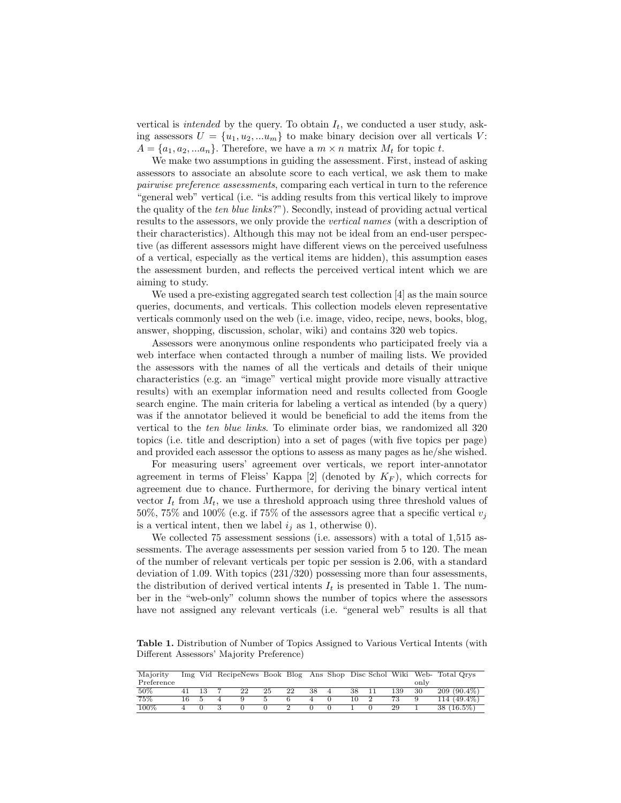vertical is *intended* by the query. To obtain  $I_t$ , we conducted a user study, asking assessors  $U = \{u_1, u_2, ... u_m\}$  to make binary decision over all verticals V:  $A = \{a_1, a_2, \ldots a_n\}$ . Therefore, we have a  $m \times n$  matrix  $M_t$  for topic t.

We make two assumptions in guiding the assessment. First, instead of asking assessors to associate an absolute score to each vertical, we ask them to make pairwise preference assessments, comparing each vertical in turn to the reference "general web" vertical (i.e. "is adding results from this vertical likely to improve the quality of the ten blue links?"). Secondly, instead of providing actual vertical results to the assessors, we only provide the vertical names (with a description of their characteristics). Although this may not be ideal from an end-user perspective (as different assessors might have different views on the perceived usefulness of a vertical, especially as the vertical items are hidden), this assumption eases the assessment burden, and reflects the perceived vertical intent which we are aiming to study.

We used a pre-existing aggregated search test collection [4] as the main source queries, documents, and verticals. This collection models eleven representative verticals commonly used on the web (i.e. image, video, recipe, news, books, blog, answer, shopping, discussion, scholar, wiki) and contains 320 web topics.

Assessors were anonymous online respondents who participated freely via a web interface when contacted through a number of mailing lists. We provided the assessors with the names of all the verticals and details of their unique characteristics (e.g. an "image" vertical might provide more visually attractive results) with an exemplar information need and results collected from Google search engine. The main criteria for labeling a vertical as intended (by a query) was if the annotator believed it would be beneficial to add the items from the vertical to the ten blue links. To eliminate order bias, we randomized all 320 topics (i.e. title and description) into a set of pages (with five topics per page) and provided each assessor the options to assess as many pages as he/she wished.

For measuring users' agreement over verticals, we report inter-annotator agreement in terms of Fleiss' Kappa  $[2]$  (denoted by  $K_F$ ), which corrects for agreement due to chance. Furthermore, for deriving the binary vertical intent vector  $I_t$  from  $M_t$ , we use a threshold approach using three threshold values of 50%, 75% and 100% (e.g. if 75% of the assessors agree that a specific vertical  $v_j$ is a vertical intent, then we label  $i_j$  as 1, otherwise 0).

We collected 75 assessment sessions (i.e. assessors) with a total of 1,515 assessments. The average assessments per session varied from 5 to 120. The mean of the number of relevant verticals per topic per session is 2.06, with a standard deviation of 1.09. With topics  $(231/320)$  possessing more than four assessments, the distribution of derived vertical intents  $I_t$  is presented in Table 1. The number in the "web-only" column shows the number of topics where the assessors have not assigned any relevant verticals (i.e. "general web" results is all that

Table 1. Distribution of Number of Topics Assigned to Various Vertical Intents (with Different Assessors' Majority Preference)

| Majority   | lmg |  | Vid RecipeNews Book Blog Ans Shop Disc Schol Wiki |    |    |    |  |     | Web- | Total Orvs       |
|------------|-----|--|---------------------------------------------------|----|----|----|--|-----|------|------------------|
| Preference |     |  |                                                   |    |    |    |  |     | only |                  |
| 50%        |     |  | 22                                                | 25 | 22 | 38 |  | 139 | 30   | $209(90.4\%)$    |
| 75%        | 16  |  |                                                   |    |    |    |  | 73  |      | 114 (49.4%)      |
| 100%       |     |  |                                                   |    |    |    |  | 29  |      | $(16.5\%)$<br>38 |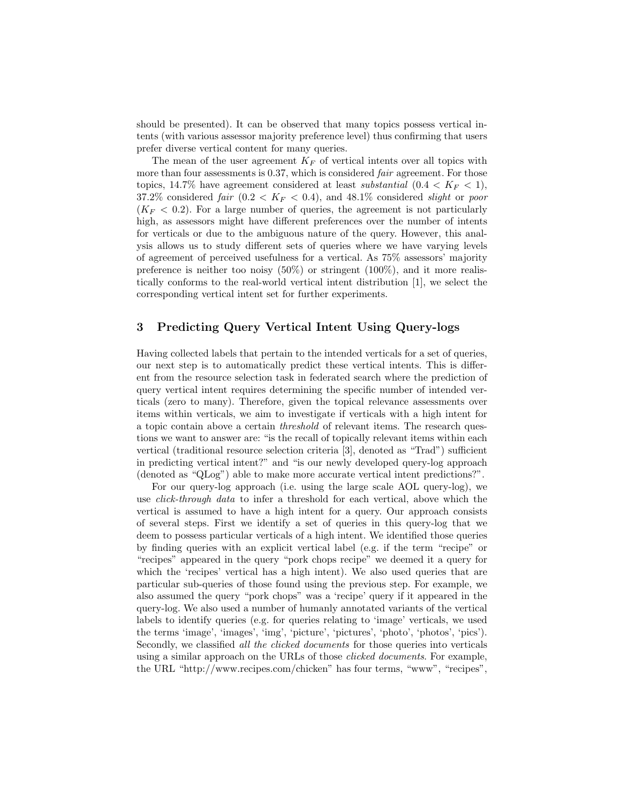should be presented). It can be observed that many topics possess vertical intents (with various assessor majority preference level) thus confirming that users prefer diverse vertical content for many queries.

The mean of the user agreement  $K_F$  of vertical intents over all topics with more than four assessments is 0.37, which is considered *fair* agreement. For those topics, 14.7% have agreement considered at least *substantial*  $(0.4 < K_F < 1)$ , 37.2% considered fair  $(0.2 < K_F < 0.4)$ , and 48.1% considered *slight* or *poor*  $(K_F < 0.2)$ . For a large number of queries, the agreement is not particularly high, as assessors might have different preferences over the number of intents for verticals or due to the ambiguous nature of the query. However, this analysis allows us to study different sets of queries where we have varying levels of agreement of perceived usefulness for a vertical. As 75% assessors' majority preference is neither too noisy  $(50\%)$  or stringent  $(100\%)$ , and it more realistically conforms to the real-world vertical intent distribution [1], we select the corresponding vertical intent set for further experiments.

### 3 Predicting Query Vertical Intent Using Query-logs

Having collected labels that pertain to the intended verticals for a set of queries, our next step is to automatically predict these vertical intents. This is different from the resource selection task in federated search where the prediction of query vertical intent requires determining the specific number of intended verticals (zero to many). Therefore, given the topical relevance assessments over items within verticals, we aim to investigate if verticals with a high intent for a topic contain above a certain threshold of relevant items. The research questions we want to answer are: "is the recall of topically relevant items within each vertical (traditional resource selection criteria [3], denoted as "Trad") sufficient in predicting vertical intent?" and "is our newly developed query-log approach (denoted as "QLog") able to make more accurate vertical intent predictions?".

For our query-log approach (i.e. using the large scale AOL query-log), we use click-through data to infer a threshold for each vertical, above which the vertical is assumed to have a high intent for a query. Our approach consists of several steps. First we identify a set of queries in this query-log that we deem to possess particular verticals of a high intent. We identified those queries by finding queries with an explicit vertical label (e.g. if the term "recipe" or "recipes" appeared in the query "pork chops recipe" we deemed it a query for which the 'recipes' vertical has a high intent). We also used queries that are particular sub-queries of those found using the previous step. For example, we also assumed the query "pork chops" was a 'recipe' query if it appeared in the query-log. We also used a number of humanly annotated variants of the vertical labels to identify queries (e.g. for queries relating to 'image' verticals, we used the terms 'image', 'images', 'img', 'picture', 'pictures', 'photo', 'photos', 'pics'). Secondly, we classified all the clicked documents for those queries into verticals using a similar approach on the URLs of those clicked documents. For example, the URL "http://www.recipes.com/chicken" has four terms, "www", "recipes",